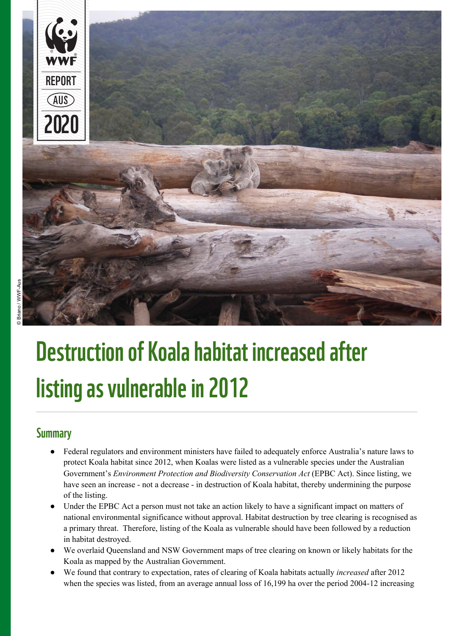

# Destruction of Koala habitat increased after listing as vulnerable in 2012

#### **Summary**

- Federal regulators and environment ministers have failed to adequately enforce Australia's nature laws to protect Koala habitat since 2012, when Koalas were listed as a vulnerable species under the Australian Government's *Environment Protection and Biodiversity Conservation Act* (EPBC Act). Since listing, we have seen an increase - not a decrease - in destruction of Koala habitat, thereby undermining the purpose of the listing.
- Under the EPBC Act a person must not take an action likely to have a significant impact on matters of national environmental significance without approval. Habitat destruction by tree clearing is recognised as a primary threat. Therefore, listing of the Koala as vulnerable should have been followed by a reduction in habitat destroyed.
- We overlaid Queensland and NSW Government maps of tree clearing on known or likely habitats for the Koala as mapped by the Australian Government.
- We found that contrary to expectation, rates of clearing of Koala habitats actually *increased* after 2012 when the species was listed, from an average annual loss of 16,199 ha over the period 2004-12 increasing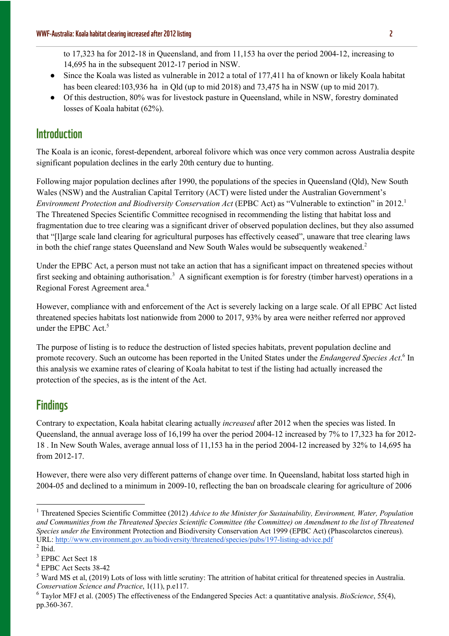- Since the Koala was listed as vulnerable in 2012 a total of 177,411 ha of known or likely Koala habitat has been cleared:103,936 ha in Qld (up to mid 2018) and 73,475 ha in NSW (up to mid 2017).
- Of this destruction, 80% was for livestock pasture in Queensland, while in NSW, forestry dominated losses of Koala habitat (62%).

# **Introduction**

The Koala is an iconic, forest-dependent, arboreal folivore which was once very common across Australia despite significant population declines in the early 20th century due to hunting.

Following major population declines after 1990, the populations of the species in Queensland (Qld), New South Wales (NSW) and the Australian Capital Territory (ACT) were listed under the Australian Government's *Environment Protection and Biodiversity Conservation Act* (EPBC Act) as "Vulnerable to extinction" in 2012.<sup>1</sup> The Threatened Species Scientific Committee recognised in recommending the listing that habitat loss and fragmentation due to tree clearing was a significant driver of observed population declines, but they also assumed that "[l]arge scale land clearing for agricultural purposes has effectively ceased", unaware that tree clearing laws in both the chief range states Queensland and New South Wales would be subsequently weakened.<sup>2</sup>

Under the EPBC Act, a person must not take an action that has a significant impact on threatened species without first seeking and obtaining authorisation.<sup>3</sup> A significant exemption is for forestry (timber harvest) operations in a Regional Forest Agreement area.<sup>4</sup>

However, compliance with and enforcement of the Act is severely lacking on a large scale. Of all EPBC Act listed threatened species habitats lost nationwide from 2000 to 2017, 93% by area were neither referred nor approved under the EPBC Act.<sup>5</sup>

The purpose of listing is to reduce the destruction of listed species habitats, prevent population decline and promote recovery. Such an outcome has been reported in the United States under the *Endangered Species Act*. <sup>6</sup> In this analysis we examine rates of clearing of Koala habitat to test if the listing had actually increased the protection of the species, as is the intent of the Act.

# **Findings**

Contrary to expectation, Koala habitat clearing actually *increased* after 2012 when the species was listed. In Queensland, the annual average loss of 16,199 ha over the period 2004-12 increased by 7% to 17,323 ha for 2012- 18 . In New South Wales, average annual loss of 11,153 ha in the period 2004-12 increased by 32% to 14,695 ha from 2012-17.

However, there were also very different patterns of change over time. In Queensland, habitat loss started high in 2004-05 and declined to a minimum in 2009-10, reflecting the ban on broadscale clearing for agriculture of 2006

<sup>&</sup>lt;sup>1</sup> Threatened Species Scientific Committee (2012) *Advice to the Minister for Sustainability, Environment, Water, Population and Communities from the Threatened Species Scientific Committee (the Committee) on Amendment to the list of Threatened Species under the* Environment Protection and Biodiversity Conservation Act 1999 (EPBC Act) (Phascolarctos cinereus). URL: http://www.environment.gov.au/biodiversity/threatened/species/pubs/197-listing-advice.pdf

 $<sup>2</sup>$  Ibid.</sup>

<sup>&</sup>lt;sup>3</sup> EPBC Act Sect 18

<sup>4</sup> EPBC Act Sects 38-42

<sup>&</sup>lt;sup>5</sup> Ward MS et al, (2019) Lots of loss with little scrutiny: The attrition of habitat critical for threatened species in Australia. *Conservation Science and Practice*, 1(11), p.e117.

<sup>6</sup> Taylor MFJ et al. (2005) The effectiveness of the Endangered Species Act: a quantitative analysis. *BioScience*, 55(4), pp.360-367.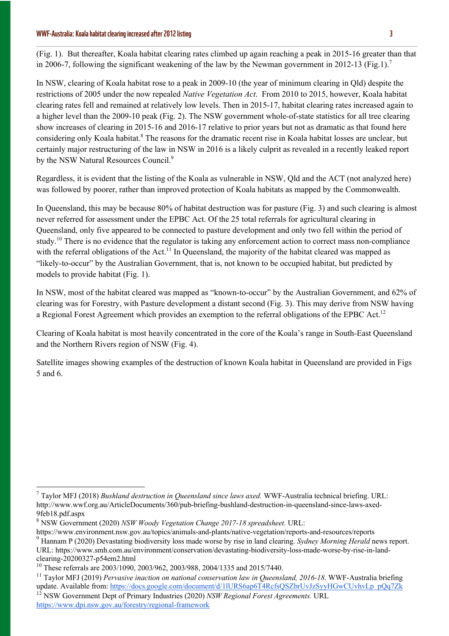#### WWF-Australia: Koala habitat clearing increased after 2012 listing 3

(Fig. 1). But thereafter, Koala habitat clearing rates climbed up again reaching a peak in 2015-16 greater than that in 2006-7, following the significant weakening of the law by the Newman government in 2012-13 (Fig.1).<sup>7</sup>

In NSW, clearing of Koala habitat rose to a peak in 2009-10 (the year of minimum clearing in Qld) despite the restrictions of 2005 under the now repealed *Native Vegetation Act*. From 2010 to 2015, however, Koala habitat clearing rates fell and remained at relatively low levels. Then in 2015-17, habitat clearing rates increased again to a higher level than the 2009-10 peak (Fig. 2). The NSW government whole-of-state statistics for all tree clearing show increases of clearing in 2015-16 and 2016-17 relative to prior years but not as dramatic as that found here considering only Koala habitat.<sup>8</sup> The reasons for the dramatic recent rise in Koala habitat losses are unclear, but certainly major restructuring of the law in NSW in 2016 is a likely culprit as revealed in a recently leaked report by the NSW Natural Resources Council.<sup>9</sup>

Regardless, it is evident that the listing of the Koala as vulnerable in NSW, Qld and the ACT (not analyzed here) was followed by poorer, rather than improved protection of Koala habitats as mapped by the Commonwealth.

In Queensland, this may be because 80% of habitat destruction was for pasture (Fig. 3) and such clearing is almost never referred for assessment under the EPBC Act. Of the 25 total referrals for agricultural clearing in Queensland, only five appeared to be connected to pasture development and only two fell within the period of study.<sup>10</sup> There is no evidence that the regulator is taking any enforcement action to correct mass non-compliance with the referral obligations of the Act.<sup>11</sup> In Queensland, the majority of the habitat cleared was mapped as "likely-to-occur" by the Australian Government, that is, not known to be occupied habitat, but predicted by models to provide habitat (Fig. 1).

In NSW, most of the habitat cleared was mapped as "known-to-occur" by the Australian Government, and 62% of clearing was for Forestry, with Pasture development a distant second (Fig. 3). This may derive from NSW having a Regional Forest Agreement which provides an exemption to the referral obligations of the EPBC Act.<sup>12</sup>

Clearing of Koala habitat is most heavily concentrated in the core of the Koala's range in South-East Queensland and the Northern Rivers region of NSW (Fig. 4).

Satellite images showing examples of the destruction of known Koala habitat in Queensland are provided in Figs 5 and 6.

<sup>7</sup> Taylor MFJ (2018) *Bushland destruction in Queensland since laws axed.* WWF-Australia technical briefing. URL: http://www.wwf.org.au/ArticleDocuments/360/pub-briefing-bushland-destruction-in-queensland-since-laws-axed-9feb18.pdf.aspx

<sup>8</sup> NSW Government (2020) *NSW Woody Vegetation Change 2017-18 spreadsheet.* URL:

https://www.environment.nsw.gov.au/topics/animals-and-plants/native-vegetation/reports-and-resources/reports

<sup>9</sup> Hannam P (2020) Devastating biodiversity loss made worse by rise in land clearing. *Sydney Morning Herald* news report. URL: https://www.smh.com.au/environment/conservation/devastating-biodiversity-loss-made-worse-by-rise-in-landclearing-20200327-p54em2.html

<sup>&</sup>lt;sup>10</sup> These referrals are 2003/1090, 2003/962, 2003/988, 2004/1335 and 2015/7440.

<sup>&</sup>lt;sup>11</sup> Taylor MFJ (2019) *Pervasive inaction on national conservation law in Queensland, 2016-18*. WWF-Australia briefing update. Available from: https://docs.google.com/document/d/1lURS6ap6T4RcfsQSZbrUvJzSyyHGwCUvhvLp\_pQq7Zk

<sup>12</sup> NSW Government Dept of Primary Industries (2020) *NSW Regional Forest Agreements.* URL https://www.dpi.nsw.gov.au/forestry/regional-framework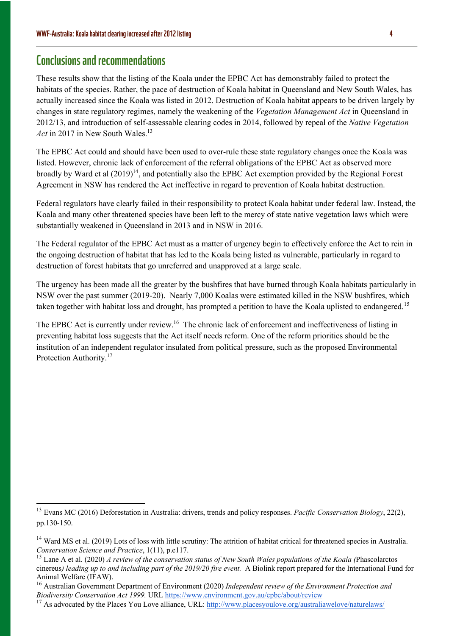#### Conclusions and recommendations

These results show that the listing of the Koala under the EPBC Act has demonstrably failed to protect the habitats of the species. Rather, the pace of destruction of Koala habitat in Queensland and New South Wales, has actually increased since the Koala was listed in 2012. Destruction of Koala habitat appears to be driven largely by changes in state regulatory regimes, namely the weakening of the *Vegetation Management Act* in Queensland in 2012/13, and introduction of self-assessable clearing codes in 2014, followed by repeal of the *Native Vegetation Act* in 2017 in New South Wales.<sup>13</sup>

The EPBC Act could and should have been used to over-rule these state regulatory changes once the Koala was listed. However, chronic lack of enforcement of the referral obligations of the EPBC Act as observed more broadly by Ward et al  $(2019)^{14}$ , and potentially also the EPBC Act exemption provided by the Regional Forest Agreement in NSW has rendered the Act ineffective in regard to prevention of Koala habitat destruction.

Federal regulators have clearly failed in their responsibility to protect Koala habitat under federal law. Instead, the Koala and many other threatened species have been left to the mercy of state native vegetation laws which were substantially weakened in Queensland in 2013 and in NSW in 2016.

The Federal regulator of the EPBC Act must as a matter of urgency begin to effectively enforce the Act to rein in the ongoing destruction of habitat that has led to the Koala being listed as vulnerable, particularly in regard to destruction of forest habitats that go unreferred and unapproved at a large scale.

The urgency has been made all the greater by the bushfires that have burned through Koala habitats particularly in NSW over the past summer (2019-20). Nearly 7,000 Koalas were estimated killed in the NSW bushfires, which taken together with habitat loss and drought, has prompted a petition to have the Koala uplisted to endangered.<sup>15</sup>

The EPBC Act is currently under review.<sup>16</sup> The chronic lack of enforcement and ineffectiveness of listing in preventing habitat loss suggests that the Act itself needs reform. One of the reform priorities should be the institution of an independent regulator insulated from political pressure, such as the proposed Environmental Protection Authority.<sup>17</sup>

<sup>13</sup> Evans MC (2016) Deforestation in Australia: drivers, trends and policy responses. *Pacific Conservation Biology*, 22(2), pp.130-150.

<sup>&</sup>lt;sup>14</sup> Ward MS et al. (2019) Lots of loss with little scrutiny: The attrition of habitat critical for threatened species in Australia. *Conservation Science and Practice*, 1(11), p.e117.

<sup>15</sup> Lane A et al. (2020) *A review of the conservation status of New South Wales populations of the Koala (*Phascolarctos cinereus*) leading up to and including part of the 2019/20 fire event.* A Biolink report prepared for the International Fund for Animal Welfare (IFAW).

<sup>16</sup> Australian Government Department of Environment (2020) *Independent review of the Environment Protection and Biodiversity Conservation Act 1999.* URL https://www.environment.gov.au/epbc/about/review

<sup>&</sup>lt;sup>17</sup> As advocated by the Places You Love alliance, URL: http://www.placesyoulove.org/australiawelove/naturelaws/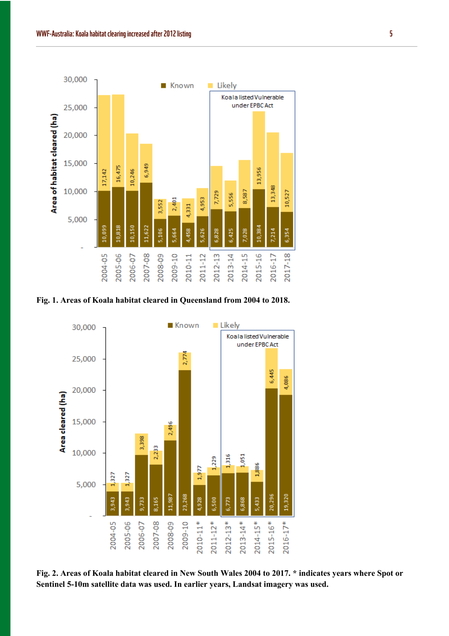

**Fig. 1. Areas of Koala habitat cleared in Queensland from 2004 to 2018.** 



**Fig. 2. Areas of Koala habitat cleared in New South Wales 2004 to 2017. \* indicates years where Spot or Sentinel 5-10m satellite data was used. In earlier years, Landsat imagery was used.**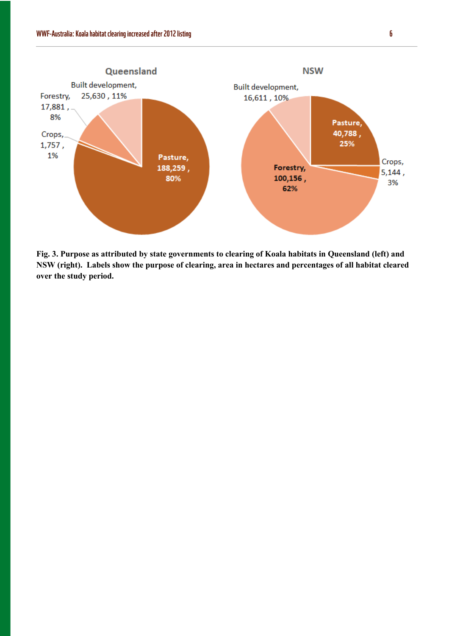

**Fig. 3. Purpose as attributed by state governments to clearing of Koala habitats in Queensland (left) and NSW (right). Labels show the purpose of clearing, area in hectares and percentages of all habitat cleared over the study period.**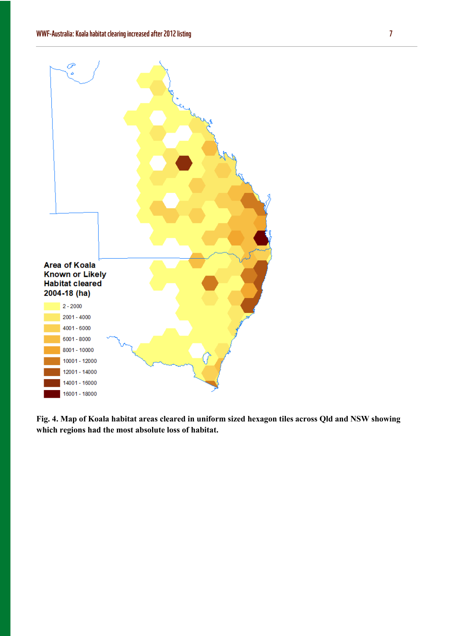

**Fig. 4. Map of Koala habitat areas cleared in uniform sized hexagon tiles across Qld and NSW showing which regions had the most absolute loss of habitat.**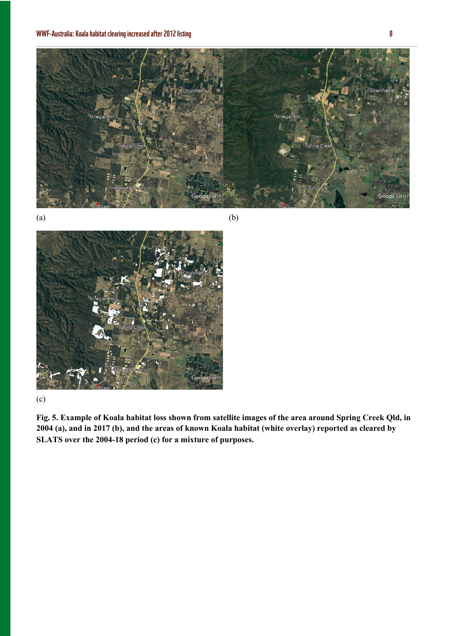



#### (c)

**Fig. 5. Example of Koala habitat loss shown from satellite images of the area around Spring Creek Qld, in 2004 (a), and in 2017 (b), and the areas of known Koala habitat (white overlay) reported as cleared by SLATS over the 2004-18 period (c) for a mixture of purposes.**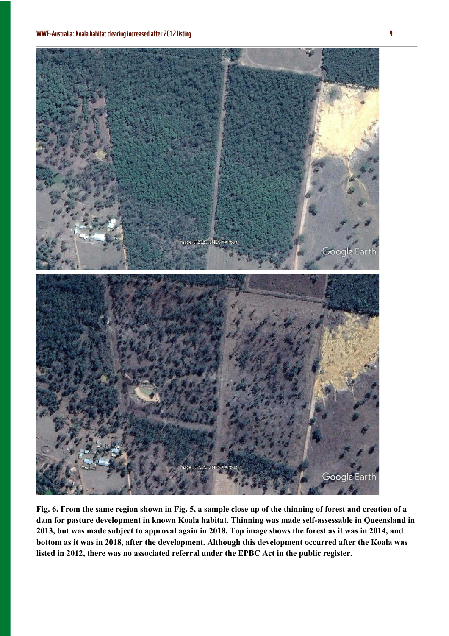

**Fig. 6. From the same region shown in Fig. 5, a sample close up of the thinning of forest and creation of a dam for pasture development in known Koala habitat. Thinning was made self-assessable in Queensland in 2013, but was made subject to approval again in 2018. Top image shows the forest as it was in 2014, and bottom as it was in 2018, after the development. Although this development occurred after the Koala was listed in 2012, there was no associated referral under the EPBC Act in the public register.**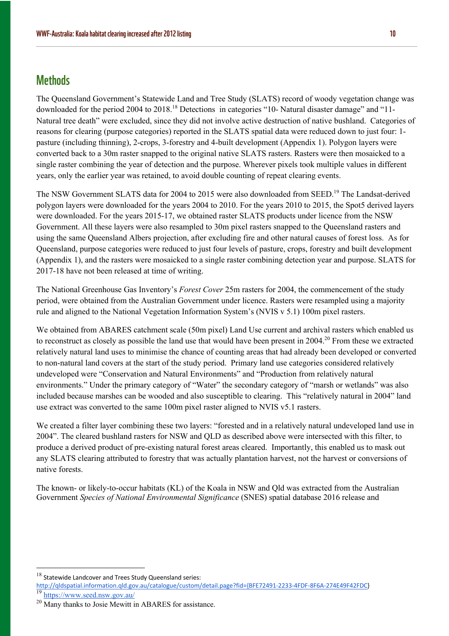### **Methods**

The Queensland Government's Statewide Land and Tree Study (SLATS) record of woody vegetation change was downloaded for the period 2004 to 2018.<sup>18</sup> Detections in categories "10- Natural disaster damage" and "11- Natural tree death" were excluded, since they did not involve active destruction of native bushland. Categories of reasons for clearing (purpose categories) reported in the SLATS spatial data were reduced down to just four: 1 pasture (including thinning), 2-crops, 3-forestry and 4-built development (Appendix 1). Polygon layers were converted back to a 30m raster snapped to the original native SLATS rasters. Rasters were then mosaicked to a single raster combining the year of detection and the purpose. Wherever pixels took multiple values in different years, only the earlier year was retained, to avoid double counting of repeat clearing events.

The NSW Government SLATS data for 2004 to 2015 were also downloaded from SEED.<sup>19</sup> The Landsat-derived polygon layers were downloaded for the years 2004 to 2010. For the years 2010 to 2015, the Spot5 derived layers were downloaded. For the years 2015-17, we obtained raster SLATS products under licence from the NSW Government. All these layers were also resampled to 30m pixel rasters snapped to the Queensland rasters and using the same Queensland Albers projection, after excluding fire and other natural causes of forest loss. As for Queensland, purpose categories were reduced to just four levels of pasture, crops, forestry and built development (Appendix 1), and the rasters were mosaicked to a single raster combining detection year and purpose. SLATS for 2017-18 have not been released at time of writing.

The National Greenhouse Gas Inventory's *Forest Cover* 25m rasters for 2004, the commencement of the study period, were obtained from the Australian Government under licence. Rasters were resampled using a majority rule and aligned to the National Vegetation Information System's (NVIS v 5.1) 100m pixel rasters.

We obtained from ABARES catchment scale (50m pixel) Land Use current and archival rasters which enabled us to reconstruct as closely as possible the land use that would have been present in  $2004<sup>20</sup>$  From these we extracted relatively natural land uses to minimise the chance of counting areas that had already been developed or converted to non-natural land covers at the start of the study period. Primary land use categories considered relatively undeveloped were "Conservation and Natural Environments" and "Production from relatively natural environments." Under the primary category of "Water" the secondary category of "marsh or wetlands" was also included because marshes can be wooded and also susceptible to clearing. This "relatively natural in 2004" land use extract was converted to the same 100m pixel raster aligned to NVIS v5.1 rasters.

We created a filter layer combining these two layers: "forested and in a relatively natural undeveloped land use in 2004". The cleared bushland rasters for NSW and QLD as described above were intersected with this filter, to produce a derived product of pre-existing natural forest areas cleared. Importantly, this enabled us to mask out any SLATS clearing attributed to forestry that was actually plantation harvest, not the harvest or conversions of native forests.

The known- or likely-to-occur habitats (KL) of the Koala in NSW and Qld was extracted from the Australian Government *Species of National Environmental Significance* (SNES) spatial database 2016 release and

Statewide Landcover and Trees Study Queensland series:

http://qldspatial.information.qld.gov.au/catalogue/custom/detail.page?fid={BFE72491-2233-4FDF-8F6A-274E49F42FDC} <sup>19</sup> https://www.seed.nsw.gov.au/

<sup>&</sup>lt;sup>20</sup> Many thanks to Josie Mewitt in ABARES for assistance.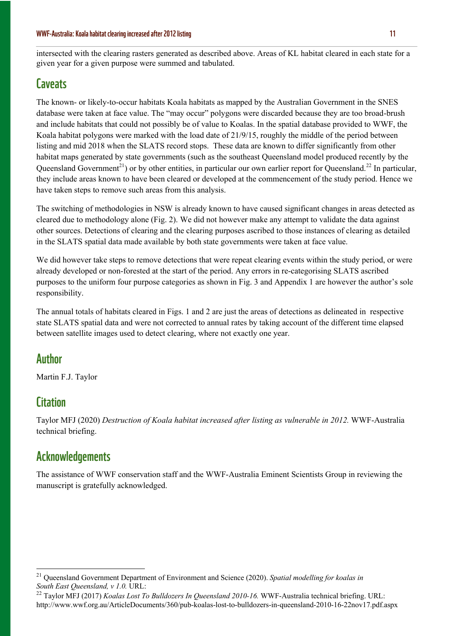intersected with the clearing rasters generated as described above. Areas of KL habitat cleared in each state for a given year for a given purpose were summed and tabulated.

#### **Caveats**

The known- or likely-to-occur habitats Koala habitats as mapped by the Australian Government in the SNES database were taken at face value. The "may occur" polygons were discarded because they are too broad-brush and include habitats that could not possibly be of value to Koalas. In the spatial database provided to WWF, the Koala habitat polygons were marked with the load date of 21/9/15, roughly the middle of the period between listing and mid 2018 when the SLATS record stops. These data are known to differ significantly from other habitat maps generated by state governments (such as the southeast Queensland model produced recently by the Queensland Government<sup>21</sup>) or by other entities, in particular our own earlier report for Queensland.<sup>22</sup> In particular, they include areas known to have been cleared or developed at the commencement of the study period. Hence we have taken steps to remove such areas from this analysis.

The switching of methodologies in NSW is already known to have caused significant changes in areas detected as cleared due to methodology alone (Fig. 2). We did not however make any attempt to validate the data against other sources. Detections of clearing and the clearing purposes ascribed to those instances of clearing as detailed in the SLATS spatial data made available by both state governments were taken at face value.

We did however take steps to remove detections that were repeat clearing events within the study period, or were already developed or non-forested at the start of the period. Any errors in re-categorising SLATS ascribed purposes to the uniform four purpose categories as shown in Fig. 3 and Appendix 1 are however the author's sole responsibility.

The annual totals of habitats cleared in Figs. 1 and 2 are just the areas of detections as delineated in respective state SLATS spatial data and were not corrected to annual rates by taking account of the different time elapsed between satellite images used to detect clearing, where not exactly one year.

#### Author

Martin F.J. Taylor

#### **Citation**

Taylor MFJ (2020) *Destruction of Koala habitat increased after listing as vulnerable in 2012.* WWF-Australia technical briefing.

#### Acknowledgements

The assistance of WWF conservation staff and the WWF-Australia Eminent Scientists Group in reviewing the manuscript is gratefully acknowledged.

<sup>21</sup> Queensland Government Department of Environment and Science (2020). *Spatial modelling for koalas in South East Queensland, v 1.0.* URL:

<sup>&</sup>lt;sup>22</sup> Taylor MFJ (2017) *Koalas Lost To Bulldozers In Queensland 2010-16*. WWF-Australia technical briefing. URL: http://www.wwf.org.au/ArticleDocuments/360/pub-koalas-lost-to-bulldozers-in-queensland-2010-16-22nov17.pdf.aspx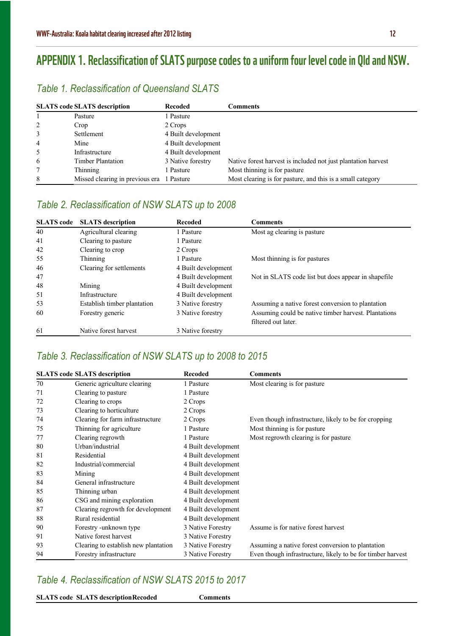# APPENDIX 1. Reclassification of SLATS purpose codes to a uniform four level code in Qld and NSW.

#### *Table 1. Reclassification of Queensland SLATS*

| <b>SLATS</b> code <b>SLATS</b> description |                                           | <b>Recoded</b>      | <b>Comments</b>                                               |
|--------------------------------------------|-------------------------------------------|---------------------|---------------------------------------------------------------|
|                                            | Pasture                                   | l Pasture           |                                                               |
| 2                                          | Crop                                      | 2 Crops             |                                                               |
| 3                                          | Settlement                                | 4 Built development |                                                               |
| 4                                          | Mine                                      | 4 Built development |                                                               |
| 5                                          | Infrastructure                            | 4 Built development |                                                               |
| 6                                          | <b>Timber Plantation</b>                  | 3 Native forestry   | Native forest harvest is included not just plantation harvest |
|                                            | Thinning                                  | l Pasture           | Most thinning is for pasture                                  |
| 8                                          | Missed clearing in previous era 1 Pasture |                     | Most clearing is for pasture, and this is a small category    |

#### *Table 2. Reclassification of NSW SLATS up to 2008*

| <b>SLATS</b> code | <b>SLATS</b> description    | <b>Recoded</b>      | <b>Comments</b>                                      |
|-------------------|-----------------------------|---------------------|------------------------------------------------------|
| 40                | Agricultural clearing       | 1 Pasture           | Most ag clearing is pasture                          |
| 41                | Clearing to pasture         | 1 Pasture           |                                                      |
| 42                | Clearing to crop            | 2 Crops             |                                                      |
| 55                | Thinning                    | 1 Pasture           | Most thinning is for pastures                        |
| 46                | Clearing for settlements    | 4 Built development |                                                      |
| 47                |                             | 4 Built development | Not in SLATS code list but does appear in shapefile  |
| 48                | Mining                      | 4 Built development |                                                      |
| 51                | Infrastructure              | 4 Built development |                                                      |
| 53                | Establish timber plantation | 3 Native forestry   | Assuming a native forest conversion to plantation    |
| 60                | Forestry generic            | 3 Native forestry   | Assuming could be native timber harvest. Plantations |
|                   |                             |                     | filtered out later.                                  |
| 61                | Native forest harvest       | 3 Native forestry   |                                                      |

#### *Table 3. Reclassification of NSW SLATS up to 2008 to 2015*

|    | <b>SLATS</b> code SLATS description  | <b>Recoded</b>      | <b>Comments</b>                                             |
|----|--------------------------------------|---------------------|-------------------------------------------------------------|
| 70 | Generic agriculture clearing         | 1 Pasture           | Most clearing is for pasture                                |
| 71 | Clearing to pasture                  | 1 Pasture           |                                                             |
| 72 | Clearing to crops                    | 2 Crops             |                                                             |
| 73 | Clearing to horticulture             | 2 Crops             |                                                             |
| 74 | Clearing for farm infrastructure     | 2 Crops             | Even though infrastructure, likely to be for cropping       |
| 75 | Thinning for agriculture             | 1 Pasture           | Most thinning is for pasture                                |
| 77 | Clearing regrowth                    | 1 Pasture           | Most regrowth clearing is for pasture                       |
| 80 | Urban/industrial                     | 4 Built development |                                                             |
| 81 | Residential                          | 4 Built development |                                                             |
| 82 | Industrial/commercial                | 4 Built development |                                                             |
| 83 | Mining                               | 4 Built development |                                                             |
| 84 | General infrastructure               | 4 Built development |                                                             |
| 85 | Thinning urban                       | 4 Built development |                                                             |
| 86 | CSG and mining exploration           | 4 Built development |                                                             |
| 87 | Clearing regrowth for development    | 4 Built development |                                                             |
| 88 | Rural residential                    | 4 Built development |                                                             |
| 90 | Forestry -unknown type               | 3 Native Forestry   | Assume is for native forest harvest                         |
| 91 | Native forest harvest                | 3 Native Forestry   |                                                             |
| 93 | Clearing to establish new plantation | 3 Native Forestry   | Assuming a native forest conversion to plantation           |
| 94 | Forestry infrastructure              | 3 Native Forestry   | Even though infrastructure, likely to be for timber harvest |

#### *Table 4. Reclassification of NSW SLATS 2015 to 2017*